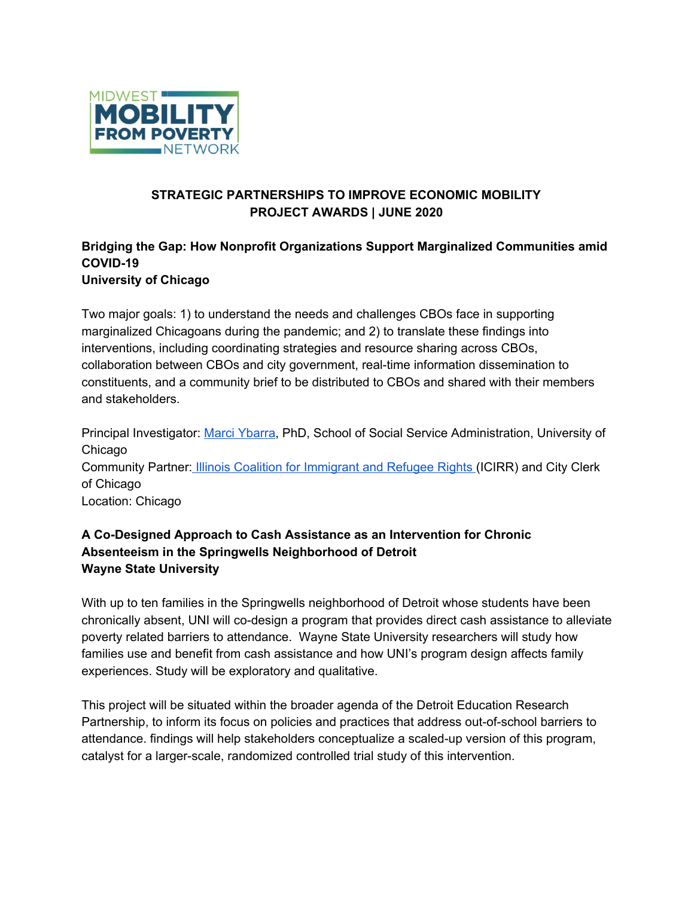

# **STRATEGIC PARTNERSHIPS TO IMPROVE ECONOMIC MOBILITY PROJECT AWARDS | JUNE 2020**

#### **Bridging the Gap: How Nonprofit Organizations Support Marginalized Communities amid COVID-19 University of Chicago**

Two major goals: 1) to understand the needs and challenges CBOs face in supporting marginalized Chicagoans during the pandemic; and 2) to translate these findings into interventions, including coordinating strategies and resource sharing across CBOs, collaboration between CBOs and city government, real-time information dissemination to constituents, and a community brief to be distributed to CBOs and shared with their members and stakeholders.

Principal Investigator: Marci [Ybarra](https://ssa.uchicago.edu/ssascholars/m-ybarra), PhD, School of Social Service Administration, University of Chicago Community Partner: Illinois Coalition for [Immigrant](https://www.icirr.org/) and Refugee Rights (ICIRR) and City Clerk of Chicago Location: Chicago

# **A Co-Designed Approach to Cash Assistance as an Intervention for Chronic Absenteeism in the Springwells Neighborhood of Detroit Wayne State University**

With up to ten families in the Springwells neighborhood of Detroit whose students have been chronically absent, UNI will co-design a program that provides direct cash assistance to alleviate poverty related barriers to attendance. Wayne State University researchers will study how families use and benefit from cash assistance and how UNI's program design affects family experiences. Study will be exploratory and qualitative.

This project will be situated within the broader agenda of the Detroit Education Research Partnership, to inform its focus on policies and practices that address out-of-school barriers to attendance. findings will help stakeholders conceptualize a scaled-up version of this program, catalyst for a larger-scale, randomized controlled trial study of this intervention.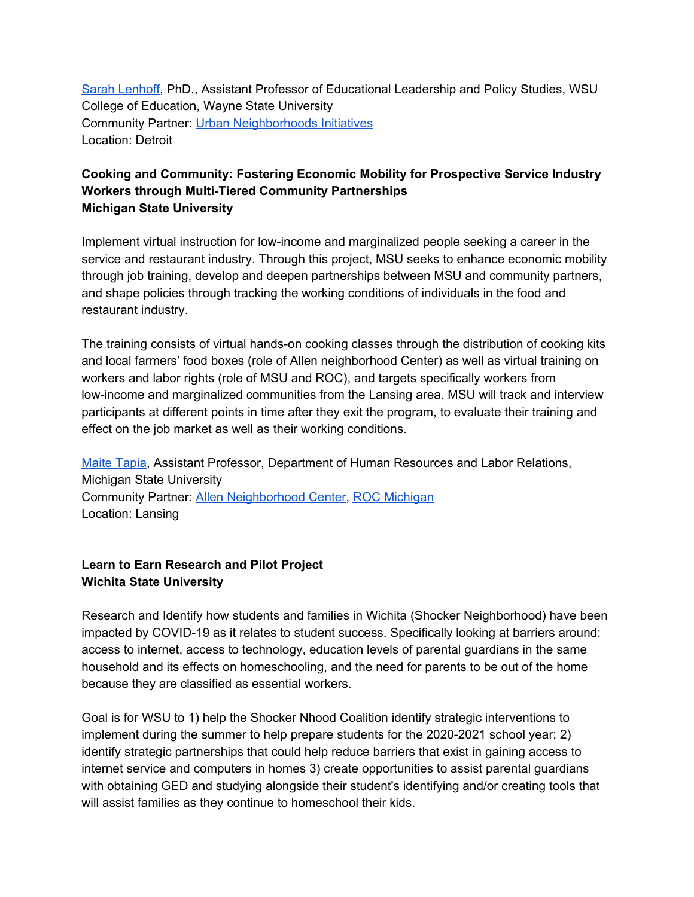Sarah [Lenhoff](https://coe.wayne.edu/profile/fj6428), PhD., Assistant Professor of Educational Leadership and Policy Studies, WSU College of Education, Wayne State University Community Partner: Urban [Neighborhoods](https://www.unidetroit.org/) Initiatives Location: Detroit

# **Cooking and Community: Fostering Economic Mobility for Prospective Service Industry Workers through Multi-Tiered Community Partnerships Michigan State University**

Implement virtual instruction for low-income and marginalized people seeking a career in the service and restaurant industry. Through this project, MSU seeks to enhance economic mobility through job training, develop and deepen partnerships between MSU and community partners, and shape policies through tracking the working conditions of individuals in the food and restaurant industry.

The training consists of virtual hands-on cooking classes through the distribution of cooking kits and local farmers' food boxes (role of Allen neighborhood Center) as well as virtual training on workers and labor rights (role of MSU and ROC), and targets specifically workers from low-income and marginalized communities from the Lansing area. MSU will track and interview participants at different points in time after they exit the program, to evaluate their training and effect on the job market as well as their working conditions.

Maite [Tapia,](https://hrlr.msu.edu/faculty/profiles.php#.XvIXUZNKiCc) Assistant Professor, Department of Human Resources and Labor Relations, Michigan State University Community Partner: Allen [Neighborhood](http://allenneighborhoodcenter.org/) Center, ROC [Michigan](https://rocunited.org/michigan/) Location: Lansing

# **Learn to Earn Research and Pilot Project Wichita State University**

Research and Identify how students and families in Wichita (Shocker Neighborhood) have been impacted by COVID-19 as it relates to student success. Specifically looking at barriers around: access to internet, access to technology, education levels of parental guardians in the same household and its effects on homeschooling, and the need for parents to be out of the home because they are classified as essential workers.

Goal is for WSU to 1) help the Shocker Nhood Coalition identify strategic interventions to implement during the summer to help prepare students for the 2020-2021 school year; 2) identify strategic partnerships that could help reduce barriers that exist in gaining access to internet service and computers in homes 3) create opportunities to assist parental guardians with obtaining GED and studying alongside their student's identifying and/or creating tools that will assist families as they continue to homeschool their kids.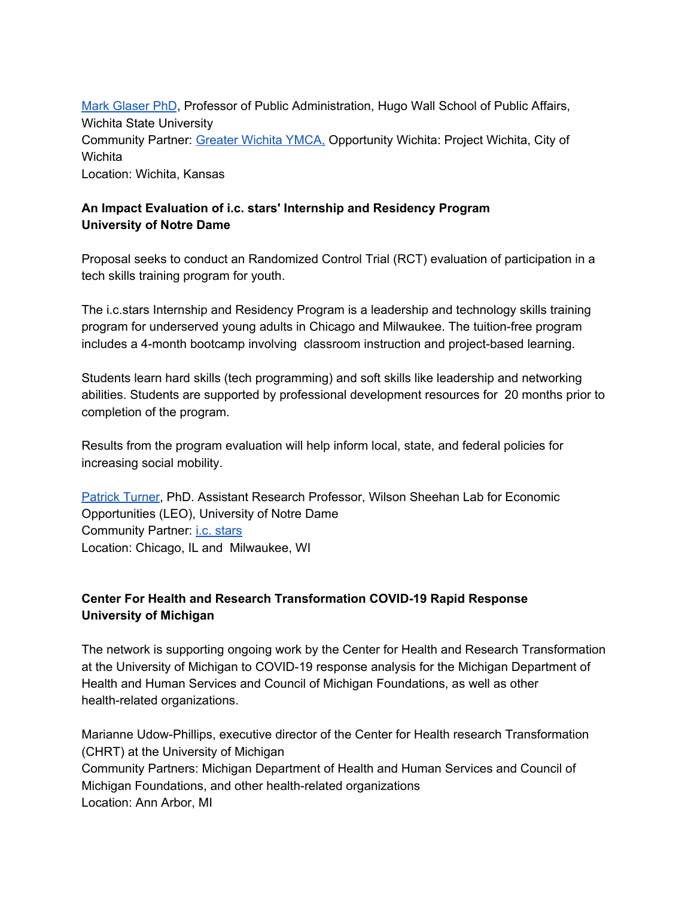Mark [Glaser](https://www.wichita.edu/academics/fairmount_college_of_liberal_arts_and_sciences/hugowall/About_Us/Mark_A__Glaser.php) PhD, Professor of Public Administration, Hugo Wall School of Public Affairs, Wichita State University Community Partner: [Greater](https://ymcawichita.org/) Wichita YMCA, Opportunity Wichita: Project Wichita, City of **Wichita** Location: Wichita, Kansas

# **An Impact Evaluation of i.c. stars' Internship and Residency Program University of Notre Dame**

Proposal seeks to conduct an Randomized Control Trial (RCT) evaluation of participation in a tech skills training program for youth.

The i.c.stars Internship and Residency Program is a leadership and technology skills training program for underserved young adults in Chicago and Milwaukee. The tuition-free program includes a 4-month bootcamp involving classroom instruction and project-based learning.

Students learn hard skills (tech programming) and soft skills like leadership and networking abilities. Students are supported by professional development resources for 20 months prior to completion of the program.

Results from the program evaluation will help inform local, state, and federal policies for increasing social mobility.

[Patrick](https://leo.nd.edu/people/patrick-turner/) Turner, PhD. Assistant Research Professor, Wilson Sheehan Lab for Economic Opportunities (LEO), University of Notre Dame Community Partner: i.c. [stars](https://www.icstars.org/) Location: Chicago, IL and Milwaukee, WI

# **Center For Health and Research Transformation COVID-19 Rapid Response University of Michigan**

The network is supporting ongoing work by the Center for Health and Research Transformation at the University of Michigan to COVID-19 response analysis for the Michigan Department of Health and Human Services and Council of Michigan Foundations, as well as other health-related organizations.

Marianne Udow-Phillips, executive director of the Center for Health research Transformation (CHRT) at the University of Michigan Community Partners: Michigan Department of Health and Human Services and Council of Michigan Foundations, and other health-related organizations Location: Ann Arbor, MI